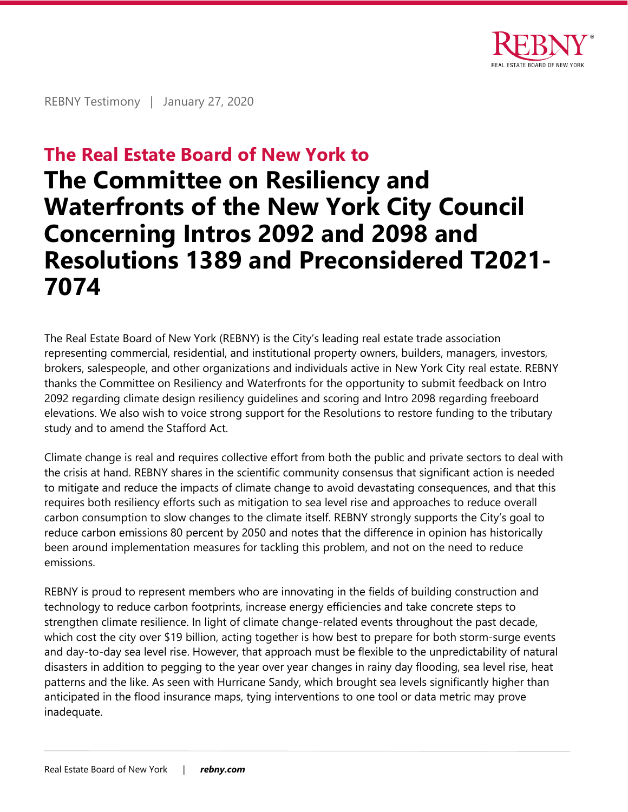

REBNY Testimony | January 27, 2020

# **The Real Estate Board of New York to**

# **The Committee on Resiliency and Waterfronts of the New York City Council Concerning Intros 2092 and 2098 and Resolutions 1389 and Preconsidered T2021- 7074**

The Real Estate Board of New York (REBNY) is the City's leading real estate trade association representing commercial, residential, and institutional property owners, builders, managers, investors, brokers, salespeople, and other organizations and individuals active in New York City real estate. REBNY thanks the Committee on Resiliency and Waterfronts for the opportunity to submit feedback on Intro 2092 regarding climate design resiliency guidelines and scoring and Intro 2098 regarding freeboard elevations. We also wish to voice strong support for the Resolutions to restore funding to the tributary study and to amend the Stafford Act.

Climate change is real and requires collective effort from both the public and private sectors to deal with the crisis at hand. REBNY shares in the scientific community consensus that significant action is needed to mitigate and reduce the impacts of climate change to avoid devastating consequences, and that this requires both resiliency efforts such as mitigation to sea level rise and approaches to reduce overall carbon consumption to slow changes to the climate itself. REBNY strongly supports the City's goal to reduce carbon emissions 80 percent by 2050 and notes that the difference in opinion has historically been around implementation measures for tackling this problem, and not on the need to reduce emissions.

REBNY is proud to represent members who are innovating in the fields of building construction and technology to reduce carbon footprints, increase energy efficiencies and take concrete steps to strengthen climate resilience. In light of climate change-related events throughout the past decade, which cost the city over \$19 billion, acting together is how best to prepare for both storm-surge events and day-to-day sea level rise. However, that approach must be flexible to the unpredictability of natural disasters in addition to pegging to the year over year changes in rainy day flooding, sea level rise, heat patterns and the like. As seen with Hurricane Sandy, which brought sea levels significantly higher than anticipated in the flood insurance maps, tying interventions to one tool or data metric may prove inadequate.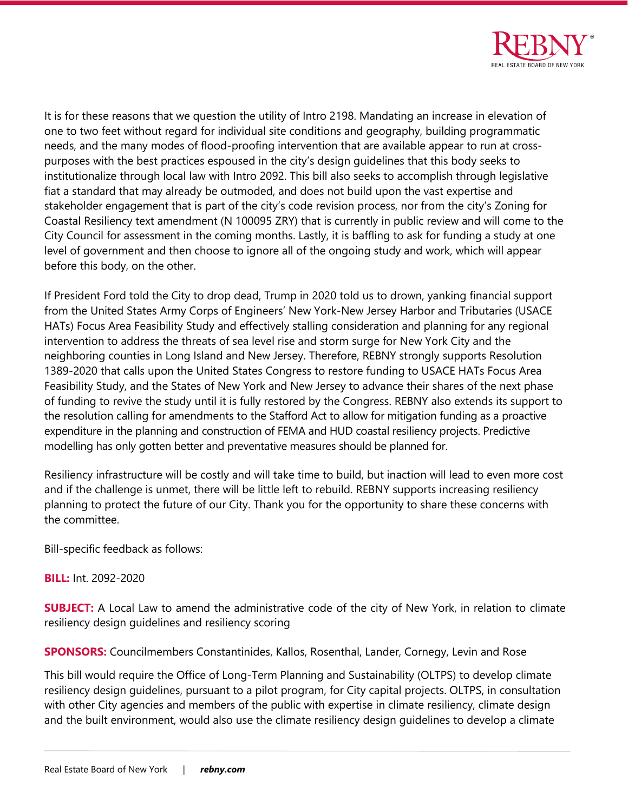

It is for these reasons that we question the utility of Intro 2198. Mandating an increase in elevation of one to two feet without regard for individual site conditions and geography, building programmatic needs, and the many modes of flood-proofing intervention that are available appear to run at crosspurposes with the best practices espoused in the city's design guidelines that this body seeks to institutionalize through local law with Intro 2092. This bill also seeks to accomplish through legislative fiat a standard that may already be outmoded, and does not build upon the vast expertise and stakeholder engagement that is part of the city's code revision process, nor from the city's Zoning for Coastal Resiliency text amendment (N 100095 ZRY) that is currently in public review and will come to the City Council for assessment in the coming months. Lastly, it is baffling to ask for funding a study at one level of government and then choose to ignore all of the ongoing study and work, which will appear before this body, on the other.

If President Ford told the City to drop dead, Trump in 2020 told us to drown, yanking financial support from the United States Army Corps of Engineers' New York-New Jersey Harbor and Tributaries (USACE HATs) Focus Area Feasibility Study and effectively stalling consideration and planning for any regional intervention to address the threats of sea level rise and storm surge for New York City and the neighboring counties in Long Island and New Jersey. Therefore, REBNY strongly supports Resolution 1389-2020 that calls upon the United States Congress to restore funding to USACE HATs Focus Area Feasibility Study, and the States of New York and New Jersey to advance their shares of the next phase of funding to revive the study until it is fully restored by the Congress. REBNY also extends its support to the resolution calling for amendments to the Stafford Act to allow for mitigation funding as a proactive expenditure in the planning and construction of FEMA and HUD coastal resiliency projects. Predictive modelling has only gotten better and preventative measures should be planned for.

Resiliency infrastructure will be costly and will take time to build, but inaction will lead to even more cost and if the challenge is unmet, there will be little left to rebuild. REBNY supports increasing resiliency planning to protect the future of our City. Thank you for the opportunity to share these concerns with the committee.

Bill-specific feedback as follows:

**BILL:** Int. 2092-2020

**SUBJECT:** A Local Law to amend the administrative code of the city of New York, in relation to climate resiliency design guidelines and resiliency scoring

**SPONSORS:** Councilmembers Constantinides, Kallos, Rosenthal, Lander, Cornegy, Levin and Rose

This bill would require the Office of Long-Term Planning and Sustainability (OLTPS) to develop climate resiliency design guidelines, pursuant to a pilot program, for City capital projects. OLTPS, in consultation with other City agencies and members of the public with expertise in climate resiliency, climate design and the built environment, would also use the climate resiliency design guidelines to develop a climate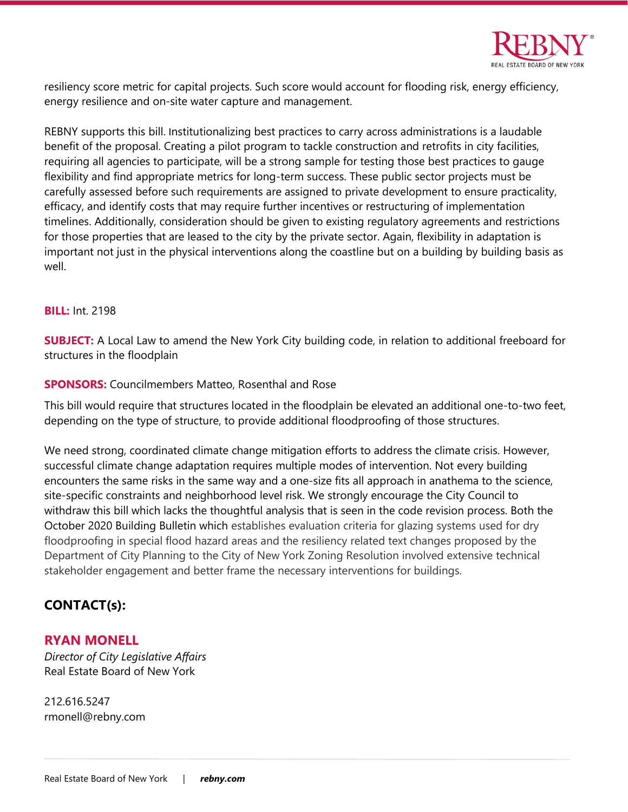

resiliency score metric for capital projects. Such score would account for flooding risk, energy efficiency, energy resilience and on-site water capture and management.

REBNY supports this bill. Institutionalizing best practices to carry across administrations is a laudable benefit of the proposal. Creating a pilot program to tackle construction and retrofits in city facilities, requiring all agencies to participate, will be a strong sample for testing those best practices to gauge flexibility and find appropriate metrics for long-term success. These public sector projects must be carefully assessed before such requirements are assigned to private development to ensure practicality, efficacy, and identify costs that may require further incentives or restructuring of implementation timelines. Additionally, consideration should be given to existing regulatory agreements and restrictions for those properties that are leased to the city by the private sector. Again, flexibility in adaptation is important not just in the physical interventions along the coastline but on a building by building basis as well.

#### **BILL:** Int. 2198

**SUBJECT:** A Local Law to amend the New York City building code, in relation to additional freeboard for structures in the floodplain

#### **SPONSORS:** Councilmembers Matteo, Rosenthal and Rose

This bill would require that structures located in the floodplain be elevated an additional one-to-two feet, depending on the type of structure, to provide additional floodproofing of those structures.

We need strong, coordinated climate change mitigation efforts to address the climate crisis. However, successful climate change adaptation requires multiple modes of intervention. Not every building encounters the same risks in the same way and a one-size fits all approach in anathema to the science, site-specific constraints and neighborhood level risk. We strongly encourage the City Council to withdraw this bill which lacks the thoughtful analysis that is seen in the code revision process. Both the October 2020 Building Bulletin which establishes evaluation criteria for glazing systems used for dry floodproofing in special flood hazard areas and the resiliency related text changes proposed by the Department of City Planning to the City of New York Zoning Resolution involved extensive technical stakeholder engagement and better frame the necessary interventions for buildings.

# **CONTACT(s):**

### **RYAN MONELL**

*Director of City Legislative Affairs* Real Estate Board of New York

212.616.5247 rmonell@rebny.com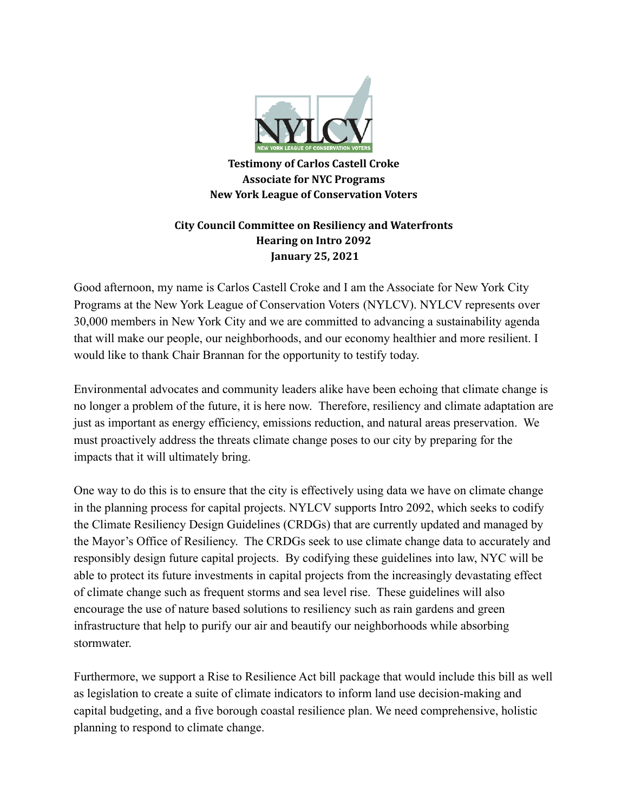

**Testimony of Carlos Castell Croke Associate for NYC Programs New York League of Conservation Voters**

# **City Council Committee on Resiliency and Waterfronts Hearing on Intro 2092 January 25, 2021**

Good afternoon, my name is Carlos Castell Croke and I am the Associate for New York City Programs at the New York League of Conservation Voters (NYLCV). NYLCV represents over 30,000 members in New York City and we are committed to advancing a sustainability agenda that will make our people, our neighborhoods, and our economy healthier and more resilient. I would like to thank Chair Brannan for the opportunity to testify today.

Environmental advocates and community leaders alike have been echoing that climate change is no longer a problem of the future, it is here now. Therefore, resiliency and climate adaptation are just as important as energy efficiency, emissions reduction, and natural areas preservation. We must proactively address the threats climate change poses to our city by preparing for the impacts that it will ultimately bring.

One way to do this is to ensure that the city is effectively using data we have on climate change in the planning process for capital projects. NYLCV supports Intro 2092, which seeks to codify the Climate Resiliency Design Guidelines (CRDGs) that are currently updated and managed by the Mayor's Office of Resiliency. The CRDGs seek to use climate change data to accurately and responsibly design future capital projects. By codifying these guidelines into law, NYC will be able to protect its future investments in capital projects from the increasingly devastating effect of climate change such as frequent storms and sea level rise. These guidelines will also encourage the use of nature based solutions to resiliency such as rain gardens and green infrastructure that help to purify our air and beautify our neighborhoods while absorbing stormwater.

Furthermore, we support a Rise to Resilience Act bill package that would include this bill as well as legislation to create a suite of climate indicators to inform land use decision-making and capital budgeting, and a five borough coastal resilience plan. We need comprehensive, holistic planning to respond to climate change.